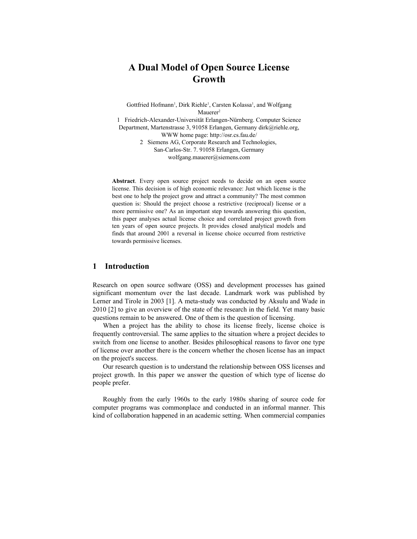# **A Dual Model of Open Source License Growth**

Gottfried Hofmann<sup>1</sup>, Dirk Riehle<sup>1</sup>, Carsten Kolassa<sup>1</sup>, and Wolfgang Mauerer<sup>2</sup>

1 Friedrich-Alexander-Universität Erlangen-Nürnberg. Computer Science Department, Martenstrasse 3, 91058 Erlangen, Germany dirk@riehle.org, WWW home page: http://osr.cs.fau.de/

2 Siemens AG, Corporate Research and Technologies, San-Carlos-Str. 7. 91058 Erlangen, Germany wolfgang.mauerer@siemens.com

**Abstract**. Every open source project needs to decide on an open source license. This decision is of high economic relevance: Just which license is the best one to help the project grow and attract a community? The most common question is: Should the project choose a restrictive (reciprocal) license or a more permissive one? As an important step towards answering this question, this paper analyses actual license choice and correlated project growth from ten years of open source projects. It provides closed analytical models and finds that around 2001 a reversal in license choice occurred from restrictive towards permissive licenses.

### **1 Introduction**

Research on open source software (OSS) and development processes has gained significant momentum over the last decade. Landmark work was published by Lerner and Tirole in 2003 [1]. A meta-study was conducted by Aksulu and Wade in 2010 [2] to give an overview of the state of the research in the field. Yet many basic questions remain to be answered. One of them is the question of licensing.

When a project has the ability to chose its license freely, license choice is frequently controversial. The same applies to the situation where a project decides to switch from one license to another. Besides philosophical reasons to favor one type of license over another there is the concern whether the chosen license has an impact on the project's success.

Our research question is to understand the relationship between OSS licenses and project growth. In this paper we answer the question of which type of license do people prefer.

Roughly from the early 1960s to the early 1980s sharing of source code for computer programs was commonplace and conducted in an informal manner. This kind of collaboration happened in an academic setting. When commercial companies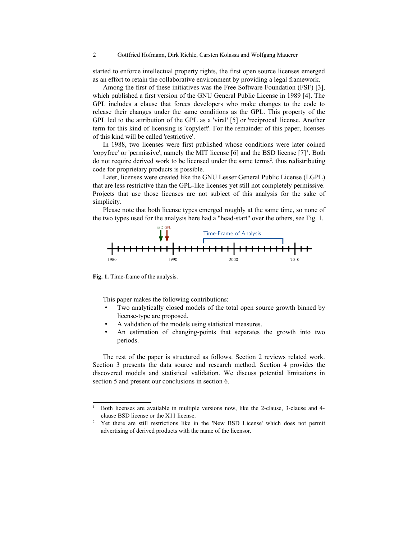started to enforce intellectual property rights, the first open source licenses emerged as an effort to retain the collaborative environment by providing a legal framework.

Among the first of these initiatives was the Free Software Foundation (FSF) [3], which published a first version of the GNU General Public License in 1989 [4]. The GPL includes a clause that forces developers who make changes to the code to release their changes under the same conditions as the GPL. This property of the GPL led to the attribution of the GPL as a 'viral' [5] or 'reciprocal' license. Another term for this kind of licensing is 'copyleft'. For the remainder of this paper, licenses of this kind will be called 'restrictive'.

In 1988, two licenses were first published whose conditions were later coined 'copyfree' or 'permissive', namely the MIT license  $[6]$  and the BSD license  $[7]$ <sup>[1](#page-1-0)</sup>. Both do not require derived work to be licensed under the same terms<sup>[2](#page-1-1)</sup>, thus redistributing code for proprietary products is possible.

Later, licenses were created like the GNU Lesser General Public License (LGPL) that are less restrictive than the GPL-like licenses yet still not completely permissive. Projects that use those licenses are not subject of this analysis for the sake of simplicity.

Please note that both license types emerged roughly at the same time, so none of the two types used for the analysis here had a "head-start" over the others, see Fig. 1.



**Fig. 1.** Time-frame of the analysis.

This paper makes the following contributions:

- Two analytically closed models of the total open source growth binned by license-type are proposed.
- A validation of the models using statistical measures.
- An estimation of changing-points that separates the growth into two periods.

The rest of the paper is structured as follows. Section 2 reviews related work. Section 3 presents the data source and research method. Section 4 provides the discovered models and statistical validation. We discuss potential limitations in section 5 and present our conclusions in section 6.

<span id="page-1-0"></span><sup>1</sup> Both licenses are available in multiple versions now, like the 2-clause, 3-clause and 4 clause BSD license or the X11 license.

<span id="page-1-1"></span><sup>2</sup> Yet there are still restrictions like in the 'New BSD License' which does not permit advertising of derived products with the name of the licensor.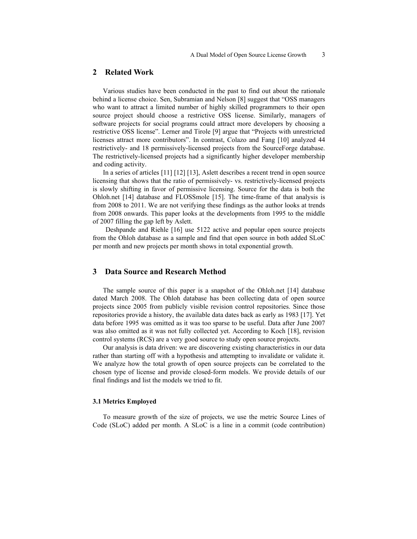### **2 Related Work**

Various studies have been conducted in the past to find out about the rationale behind a license choice. Sen, Subramian and Nelson [8] suggest that "OSS managers who want to attract a limited number of highly skilled programmers to their open source project should choose a restrictive OSS license. Similarly, managers of software projects for social programs could attract more developers by choosing a restrictive OSS license". Lerner and Tirole [9] argue that "Projects with unrestricted licenses attract more contributors". In contrast, Colazo and Fang [10] analyzed 44 restrictively- and 18 permissively-licensed projects from the SourceForge database. The restrictively-licensed projects had a significantly higher developer membership and coding activity.

In a series of articles [11] [12] [13], Aslett describes a recent trend in open source licensing that shows that the ratio of permissively- vs. restrictively-licensed projects is slowly shifting in favor of permissive licensing. Source for the data is both the Ohloh.net [14] database and FLOSSmole [15]. The time-frame of that analysis is from 2008 to 2011. We are not verifying these findings as the author looks at trends from 2008 onwards. This paper looks at the developments from 1995 to the middle of 2007 filling the gap left by Aslett.

 Deshpande and Riehle [16] use 5122 active and popular open source projects from the Ohloh database as a sample and find that open source in both added SLoC per month and new projects per month shows in total exponential growth.

### **3 Data Source and Research Method**

The sample source of this paper is a snapshot of the Ohloh.net [14] database dated March 2008. The Ohloh database has been collecting data of open source projects since 2005 from publicly visible revision control repositories. Since those repositories provide a history, the available data dates back as early as 1983 [17]. Yet data before 1995 was omitted as it was too sparse to be useful. Data after June 2007 was also omitted as it was not fully collected yet. According to Koch [18], revision control systems (RCS) are a very good source to study open source projects.

Our analysis is data driven: we are discovering existing characteristics in our data rather than starting off with a hypothesis and attempting to invalidate or validate it. We analyze how the total growth of open source projects can be correlated to the chosen type of license and provide closed-form models. We provide details of our final findings and list the models we tried to fit.

#### **3.1 Metrics Employed**

To measure growth of the size of projects, we use the metric Source Lines of Code (SLoC) added per month. A SLoC is a line in a commit (code contribution)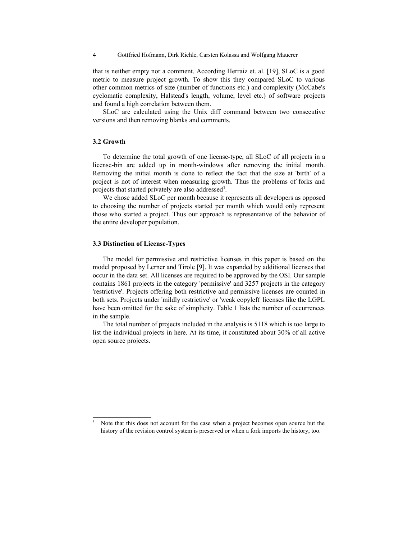4 Gottfried Hofmann, Dirk Riehle, Carsten Kolassa and Wolfgang Mauerer

that is neither empty nor a comment. According Herraiz et. al. [19], SLoC is a good metric to measure project growth. To show this they compared SLoC to various other common metrics of size (number of functions etc.) and complexity (McCabe's cyclomatic complexity, Halstead's length, volume, level etc.) of software projects and found a high correlation between them.

SLoC are calculated using the Unix diff command between two consecutive versions and then removing blanks and comments.

#### **3.2 Growth**

To determine the total growth of one license-type, all SLoC of all projects in a license-bin are added up in month-windows after removing the initial month. Removing the initial month is done to reflect the fact that the size at 'birth' of a project is not of interest when measuring growth. Thus the problems of forks and projects that started privately are also addressed<sup>[3](#page-3-0)</sup>.

We chose added SLoC per month because it represents all developers as opposed to choosing the number of projects started per month which would only represent those who started a project. Thus our approach is representative of the behavior of the entire developer population.

#### **3.3 Distinction of License-Types**

The model for permissive and restrictive licenses in this paper is based on the model proposed by Lerner and Tirole [9]. It was expanded by additional licenses that occur in the data set. All licenses are required to be approved by the OSI. Our sample contains 1861 projects in the category 'permissive' and 3257 projects in the category 'restrictive'. Projects offering both restrictive and permissive licenses are counted in both sets. Projects under 'mildly restrictive' or 'weak copyleft' licenses like the LGPL have been omitted for the sake of simplicity. Table 1 lists the number of occurrences in the sample.

The total number of projects included in the analysis is 5118 which is too large to list the individual projects in here. At its time, it constituted about 30% of all active open source projects.

<span id="page-3-0"></span>Note that this does not account for the case when a project becomes open source but the history of the revision control system is preserved or when a fork imports the history, too.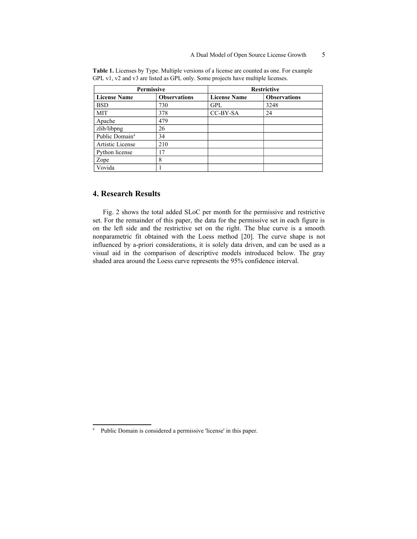| Permissive                 |                     | <b>Restrictive</b>  |                     |  |
|----------------------------|---------------------|---------------------|---------------------|--|
| <b>License Name</b>        | <b>Observations</b> | <b>License Name</b> | <b>Observations</b> |  |
| <b>BSD</b>                 | 730                 | <b>GPL</b>          | 3248                |  |
| MIT                        | 378                 | CC-BY-SA            | 24                  |  |
| Apache                     | 479                 |                     |                     |  |
| zlib/libpng                | 26                  |                     |                     |  |
| Public Domain <sup>4</sup> | 34                  |                     |                     |  |
| Artistic License           | 210                 |                     |                     |  |
| Python license             | 17                  |                     |                     |  |
| Zope                       | 8                   |                     |                     |  |
| Vovida                     |                     |                     |                     |  |

**Table 1.** Licenses by Type. Multiple versions of a license are counted as one. For example GPL v1, v2 and v3 are listed as GPL only. Some projects have multiple licenses.

### **4. Research Results**

Fig. 2 shows the total added SLoC per month for the permissive and restrictive set. For the remainder of this paper, the data for the permissive set in each figure is on the left side and the restrictive set on the right. The blue curve is a smooth nonparametric fit obtained with the Loess method [20]. The curve shape is not influenced by a-priori considerations, it is solely data driven, and can be used as a visual aid in the comparison of descriptive models introduced below. The gray shaded area around the Loess curve represents the 95% confidence interval.

<span id="page-4-0"></span><sup>4</sup> Public Domain is considered a permissive 'license' in this paper.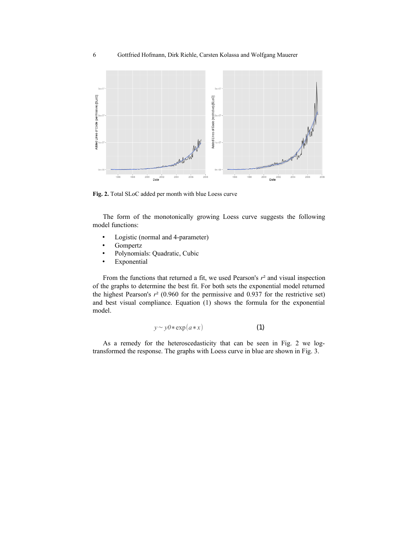

**Fig. 2.** Total SLoC added per month with blue Loess curve

The form of the monotonically growing Loess curve suggests the following model functions:

- Logistic (normal and 4-parameter)
- **Gompertz**
- Polynomials: Quadratic, Cubic
- Exponential

From the functions that returned a fit, we used Pearson's  $r<sup>2</sup>$  and visual inspection of the graphs to determine the best fit. For both sets the exponential model returned the highest Pearson's  $r^2$  (0.960 for the permissive and 0.937 for the restrictive set) and best visual compliance. Equation (1) shows the formula for the exponential model.

$$
y \sim y0 * \exp(a * x) \tag{1}
$$

As a remedy for the heteroscedasticity that can be seen in Fig. 2 we logtransformed the response. The graphs with Loess curve in blue are shown in Fig. 3.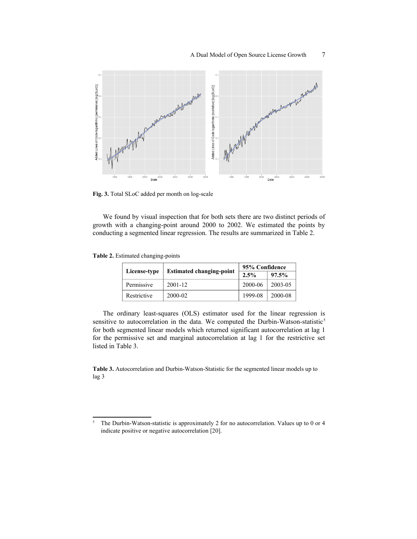

**Fig. 3.** Total SLoC added per month on log-scale

We found by visual inspection that for both sets there are two distinct periods of growth with a changing-point around 2000 to 2002. We estimated the points by conducting a segmented linear regression. The results are summarized in Table 2.

**Table 2.** Estimated changing-points

|                                                 |             | 95% Confidence |         |
|-------------------------------------------------|-------------|----------------|---------|
| <b>Estimated changing-point</b><br>License-type | 2.5%        | 97.5%          |         |
| Permissive                                      | $2001 - 12$ | 2000-06        | 2003-05 |
| Restrictive                                     | 2000-02     | 1999-08        | 2000-08 |

The ordinary least-squares (OLS) estimator used for the linear regression is sensitive to autocorrelation in the data. We computed the Durbin-Watson-statistic<sup>[5](#page-6-0)</sup> for both segmented linear models which returned significant autocorrelation at lag 1 for the permissive set and marginal autocorrelation at lag 1 for the restrictive set listed in Table 3.

**Table 3.** Autocorrelation and Durbin-Watson-Statistic for the segmented linear models up to lag 3

<span id="page-6-0"></span><sup>&</sup>lt;sup>5</sup> The Durbin-Watson-statistic is approximately 2 for no autocorrelation. Values up to 0 or 4 indicate positive or negative autocorrelation [20].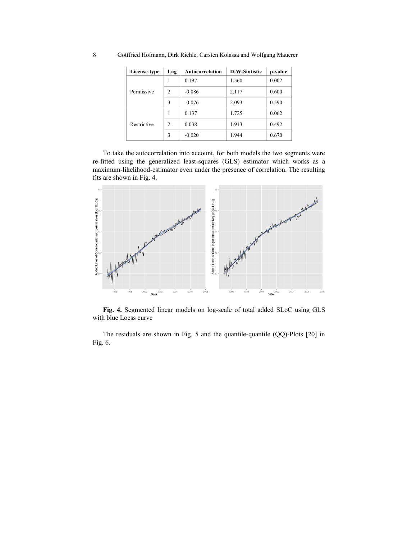| License-type | Lag            | Autocorrelation | <b>D-W-Statistic</b> | p-value |
|--------------|----------------|-----------------|----------------------|---------|
| Permissive   |                | 0.197           | 1.560                | 0.002   |
|              | 2              | $-0.086$        | 2.117                | 0.600   |
|              | 3              | $-0.076$        | 2.093                | 0.590   |
|              |                | 0.137           | 1.725                | 0.062   |
| Restrictive  | $\mathfrak{D}$ | 0.038           | 1.913                | 0.492   |
|              | 3              | $-0.020$        | 1.944                | 0.670   |

8 Gottfried Hofmann, Dirk Riehle, Carsten Kolassa and Wolfgang Mauerer

To take the autocorrelation into account, for both models the two segments were re-fitted using the generalized least-squares (GLS) estimator which works as a maximum-likelihood-estimator even under the presence of correlation. The resulting fits are shown in Fig. 4.



**Fig. 4.** Segmented linear models on log-scale of total added SLoC using GLS with blue Loess curve

The residuals are shown in Fig. 5 and the quantile-quantile (QQ)-Plots [20] in Fig. 6.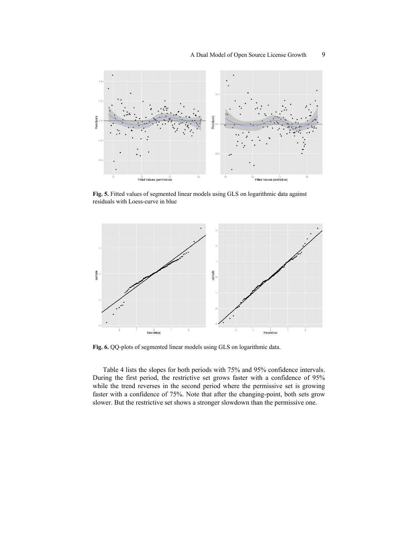

**Fig. 5.** Fitted values of segmented linear models using GLS on logarithmic data against residuals with Loess-curve in blue



**Fig. 6.** QQ-plots of segmented linear models using GLS on logarithmic data.

Table 4 lists the slopes for both periods with 75% and 95% confidence intervals. During the first period, the restrictive set grows faster with a confidence of 95% while the trend reverses in the second period where the permissive set is growing faster with a confidence of 75%. Note that after the changing-point, both sets grow slower. But the restrictive set shows a stronger slowdown than the permissive one.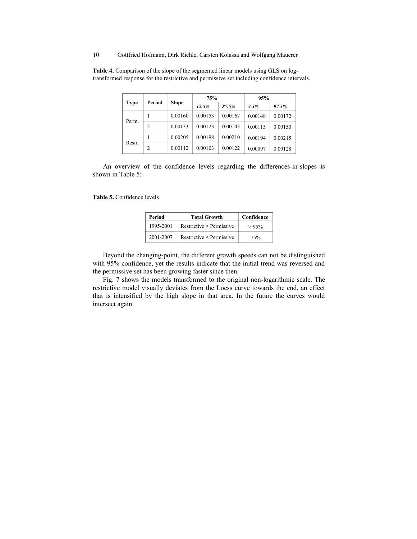10 Gottfried Hofmann, Dirk Riehle, Carsten Kolassa and Wolfgang Mauerer

| Period<br><b>Type</b> |                | <b>Slope</b> | 75%     |         | 95%     |         |
|-----------------------|----------------|--------------|---------|---------|---------|---------|
|                       |                |              | 12.5%   | 87.5%   | 2.5%    | 97.5%   |
|                       |                | 0.00160      | 0.00153 | 0.00167 | 0.00148 | 0.00172 |
| Perm.                 | $\overline{c}$ | 0.00133      | 0.00123 | 0.00143 | 0.00115 | 0.00150 |
|                       |                | 0.00205      | 0.00198 | 0.00210 | 0.00194 | 0.00215 |
| Restr.                | $\overline{c}$ | 0.00112      | 0.00103 | 0.00122 | 0.00097 | 0.00128 |

**Table 4.** Comparison of the slope of the segmented linear models using GLS on logtransformed response for the restrictive and permissive set including confidence intervals.

An overview of the confidence levels regarding the differences-in-slopes is shown in Table 5:

**Table 5.** Confidence levels

| Period    | <b>Total Growth</b>      | Confidence |
|-----------|--------------------------|------------|
| 1995-2001 | Restrictive > Permissive | >95%       |
| 2001-2007 | Restrictive < Permissive | 75%        |

Beyond the changing-point, the different growth speeds can not be distinguished with 95% confidence, yet the results indicate that the initial trend was reversed and the permissive set has been growing faster since then.

Fig. 7 shows the models transformed to the original non-logarithmic scale. The restrictive model visually deviates from the Loess curve towards the end, an effect that is intensified by the high slope in that area. In the future the curves would intersect again.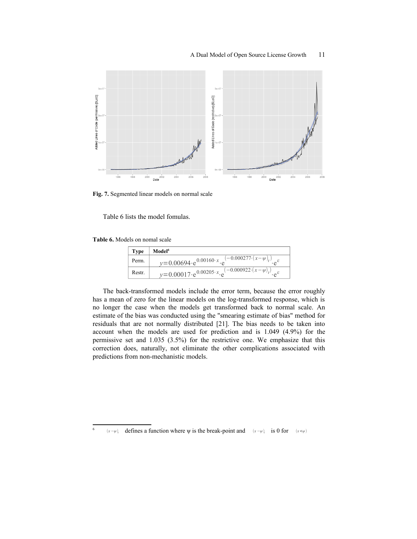

**Fig. 7.** Segmented linear models on normal scale

Table 6 lists the model fomulas.

**Table 6.** Models on nomal scale

| <b>Type</b> | Model <sup>6</sup>                                                           |
|-------------|------------------------------------------------------------------------------|
| Perm.       | $y=0.00694 \cdot e^{0.00160 \cdot x} \cdot e^{(-0.000277 \cdot (x-\psi)_t)}$ |
| Restr.      | $y=0.00017 \cdot e^{0.00205 \cdot x} \cdot e^{(-0.000922 \cdot (x-\psi))}$   |

The back-transformed models include the error term, because the error roughly has a mean of zero for the linear models on the log-transformed response, which is no longer the case when the models get transformed back to normal scale. An estimate of the bias was conducted using the "smearing estimate of bias" method for residuals that are not normally distributed [21]. The bias needs to be taken into account when the models are used for prediction and is 1.049 (4.9%) for the permissive set and 1.035 (3.5%) for the restrictive one. We emphasize that this correction does, naturally, not eliminate the other complications associated with predictions from non-mechanistic models.

<span id="page-10-0"></span><sup>6</sup> (*x* −*ψ*)<sub>*t*</sub> defines a function where  $\psi$  is the break-point and  $(x - \psi)$ <sub>*t*</sub> is 0 for  $(x < \psi)$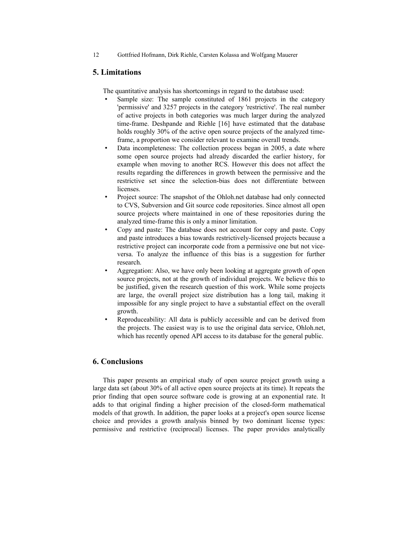12 Gottfried Hofmann, Dirk Riehle, Carsten Kolassa and Wolfgang Mauerer

## **5. Limitations**

The quantitative analysis has shortcomings in regard to the database used:

- Sample size: The sample constituted of 1861 projects in the category 'permissive' and 3257 projects in the category 'restrictive'. The real number of active projects in both categories was much larger during the analyzed time-frame. Deshpande and Riehle [16] have estimated that the database holds roughly 30% of the active open source projects of the analyzed timeframe, a proportion we consider relevant to examine overall trends.
- Data incompleteness: The collection process began in 2005, a date where some open source projects had already discarded the earlier history, for example when moving to another RCS. However this does not affect the results regarding the differences in growth between the permissive and the restrictive set since the selection-bias does not differentiate between licenses.
- Project source: The snapshot of the Ohloh.net database had only connected to CVS, Subversion and Git source code repositories. Since almost all open source projects where maintained in one of these repositories during the analyzed time-frame this is only a minor limitation.
- Copy and paste: The database does not account for copy and paste. Copy and paste introduces a bias towards restrictively-licensed projects because a restrictive project can incorporate code from a permissive one but not viceversa. To analyze the influence of this bias is a suggestion for further research.
- Aggregation: Also, we have only been looking at aggregate growth of open source projects, not at the growth of individual projects. We believe this to be justified, given the research question of this work. While some projects are large, the overall project size distribution has a long tail, making it impossible for any single project to have a substantial effect on the overall growth.
- Reproduceability: All data is publicly accessible and can be derived from the projects. The easiest way is to use the original data service, Ohloh.net, which has recently opened API access to its database for the general public.

### **6. Conclusions**

This paper presents an empirical study of open source project growth using a large data set (about 30% of all active open source projects at its time). It repeats the prior finding that open source software code is growing at an exponential rate. It adds to that original finding a higher precision of the closed-form mathematical models of that growth. In addition, the paper looks at a project's open source license choice and provides a growth analysis binned by two dominant license types: permissive and restrictive (reciprocal) licenses. The paper provides analytically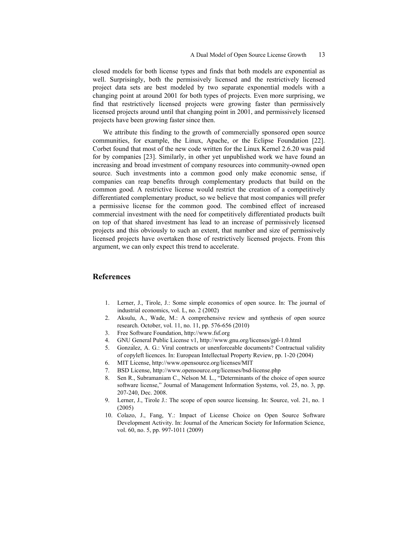closed models for both license types and finds that both models are exponential as well. Surprisingly, both the permissively licensed and the restrictively licensed project data sets are best modeled by two separate exponential models with a changing point at around 2001 for both types of projects. Even more surprising, we find that restrictively licensed projects were growing faster than permissively licensed projects around until that changing point in 2001, and permissively licensed projects have been growing faster since then.

We attribute this finding to the growth of commercially sponsored open source communities, for example, the Linux, Apache, or the Eclipse Foundation [22]. Corbet found that most of the new code written for the Linux Kernel 2.6.20 was paid for by companies [23]. Similarly, in other yet unpublished work we have found an increasing and broad investment of company resources into community-owned open source. Such investments into a common good only make economic sense, if companies can reap benefits through complementary products that build on the common good. A restrictive license would restrict the creation of a competitively differentiated complementary product, so we believe that most companies will prefer a permissive license for the common good. The combined effect of increased commercial investment with the need for competitively differentiated products built on top of that shared investment has lead to an increase of permissively licensed projects and this obviously to such an extent, that number and size of permissively licensed projects have overtaken those of restrictively licensed projects. From this argument, we can only expect this trend to accelerate.

### **References**

- 1. Lerner, J., Tirole, J.: Some simple economics of open source. In: The journal of industrial economics, vol. L, no. 2 (2002)
- 2. Aksulu, A., Wade, M.: A comprehensive review and synthesis of open source research. October, vol. 11, no. 11, pp. 576-656 (2010)
- 3. Free Software Foundation, http://www.fsf.org
- 4. GNU General Public License v1, http://www.gnu.org/licenses/gpl-1.0.html
- 5. González, A. G.: Viral contracts or unenforceable documents? Contractual validity of copyleft licences. In: European Intellectual Property Review, pp. 1-20 (2004)
- 6. MIT License, http://www.opensource.org/licenses/MIT
- 7. BSD License, http://www.opensource.org/licenses/bsd-license.php
- 8. Sen R., Subramaniam C., Nelson M. L., "Determinants of the choice of open source software license," Journal of Management Information Systems, vol. 25, no. 3, pp. 207-240, Dec. 2008.
- 9. Lerner, J., Tirole J.: The scope of open source licensing. In: Source, vol. 21, no. 1 (2005)
- 10. Colazo, J., Fang, Y.: Impact of License Choice on Open Source Software Development Activity. In: Journal of the American Society for Information Science, vol. 60, no. 5, pp. 997-1011 (2009)